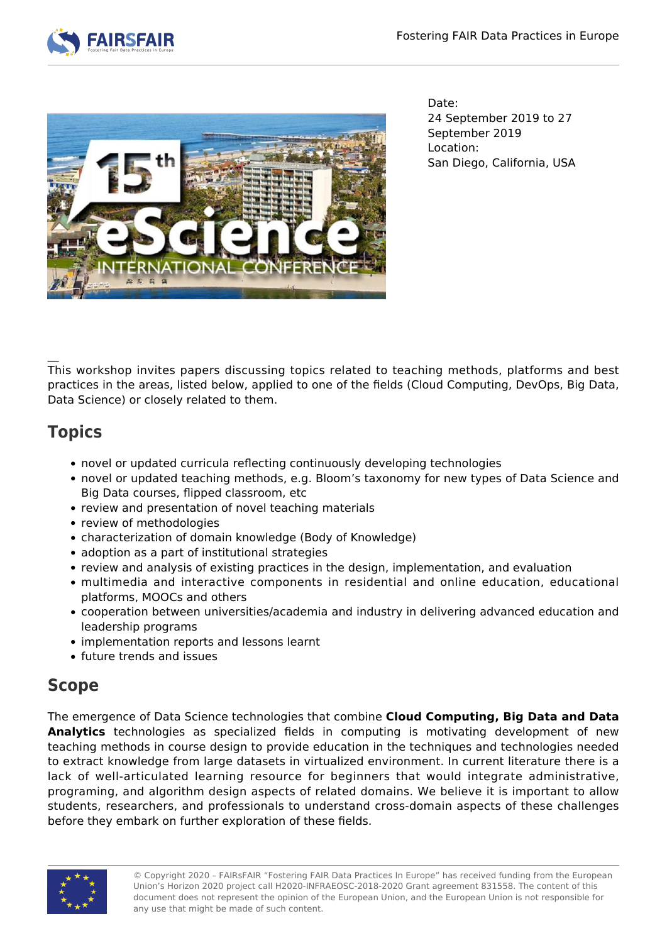



Date: 24 September 2019 to 27 September 2019 Location: San Diego, California, USA

This workshop invites papers discussing topics related to teaching methods, platforms and best practices in the areas, listed below, applied to one of the fields (Cloud Computing, DevOps, Big Data, Data Science) or closely related to them.

# **Topics**

 $\overline{\phantom{a}}$ 

- novel or updated curricula reflecting continuously developing technologies
- novel or updated teaching methods, e.g. Bloom's taxonomy for new types of Data Science and Big Data courses, flipped classroom, etc
- review and presentation of novel teaching materials
- review of methodologies
- characterization of domain knowledge (Body of Knowledge)
- adoption as a part of institutional strategies
- review and analysis of existing practices in the design, implementation, and evaluation
- multimedia and interactive components in residential and online education, educational platforms, MOOCs and others
- cooperation between universities/academia and industry in delivering advanced education and leadership programs
- implementation reports and lessons learnt
- future trends and issues

## **Scope**

The emergence of Data Science technologies that combine **Cloud Computing, Big Data and Data Analytics** technologies as specialized fields in computing is motivating development of new teaching methods in course design to provide education in the techniques and technologies needed to extract knowledge from large datasets in virtualized environment. In current literature there is a lack of well-articulated learning resource for beginners that would integrate administrative, programing, and algorithm design aspects of related domains. We believe it is important to allow students, researchers, and professionals to understand cross-domain aspects of these challenges before they embark on further exploration of these fields.